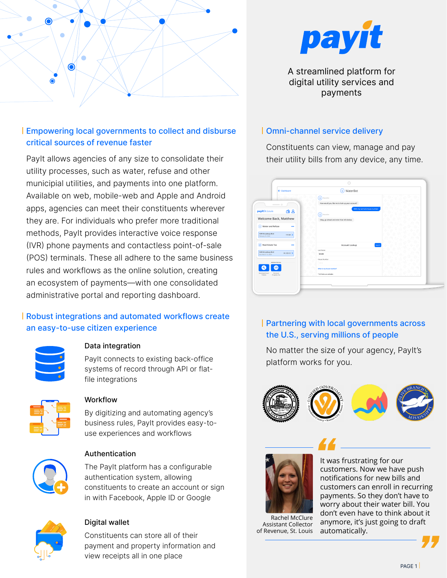

## Empowering local governments to collect and disburse critical sources of revenue faster

PayIt allows agencies of any size to consolidate their utility processes, such as water, refuse and other municipial utilities, and payments into one platform. Available on web, mobile-web and Apple and Android apps, agencies can meet their constituents wherever they are. For individuals who prefer more traditional methods, PayIt provides interactive voice response (IVR) phone payments and contactless point-of-sale (POS) terminals. These all adhere to the same business rules and workflows as the online solution, creating an ecosystem of payments—with one consolidated administrative portal and reporting dashboard.

# Robust integrations and automated workflows create an easy-to-use citizen experience



## Data integration

PayIt connects to existing back-office systems of record through API or flatfile integrations



### Workflow

By digitizing and automating agency's business rules, PayIt provides easy-touse experiences and workflows



### Authentication

The PayIt platform has a configurable authentication system, allowing constituents to create an account or sign in with Facebook, Apple ID or Google



## Digital wallet

Constituents can store all of their payment and property information and view receipts all in one place



A streamlined platform for digital utility services and payments

### Omni-channel service delivery

Constituents can view, manage and pay their utility bills from any device, any time.

|                                                                                                                                | ← Dashboard                              |  | WaterBot<br>0                                                                                                                                               |  |
|--------------------------------------------------------------------------------------------------------------------------------|------------------------------------------|--|-------------------------------------------------------------------------------------------------------------------------------------------------------------|--|
| $\longrightarrow$<br>payitSt.Louis<br>Welcome Back, Matthew<br>(a) Water and Refuse<br>1699 Broadway Blvd<br>February 25, 2020 | 百吕<br>$\ddot{\phantom{a}}$<br>$117.59$ > |  | (a) WaterBot<br>How would you like me to look up your account?<br>With my name & house number<br>6<br>WaterBot<br>Okay, go ahead and enter that info below. |  |
| <b>B</b> Real Estate Tax                                                                                                       | $\cdots$                                 |  | Search<br>Account Lookup                                                                                                                                    |  |
| 1699 Broadway Blvd<br>Due: March 15, 2020                                                                                      | $$1,123.12$ >                            |  | <b>Last Name</b><br>Smith                                                                                                                                   |  |
| <b>Additional Services</b>                                                                                                     |                                          |  | House Number<br>1812<br>What is my house number?<br>* All fields are editable                                                                               |  |

# Partnering with local governments across the U.S., serving millions of people

No matter the size of your agency, PayIt's platform works for you.





Assistant Collector Rachel McClure of Revenue, St. Louis

It was frustrating for our customers. Now we have push notifications for new bills and customers can enroll in recurring payments. So they don't have to worry about their water bill. You don't even have to think about it anymore, it's just going to draft automatically. **14**<br>It was *"*